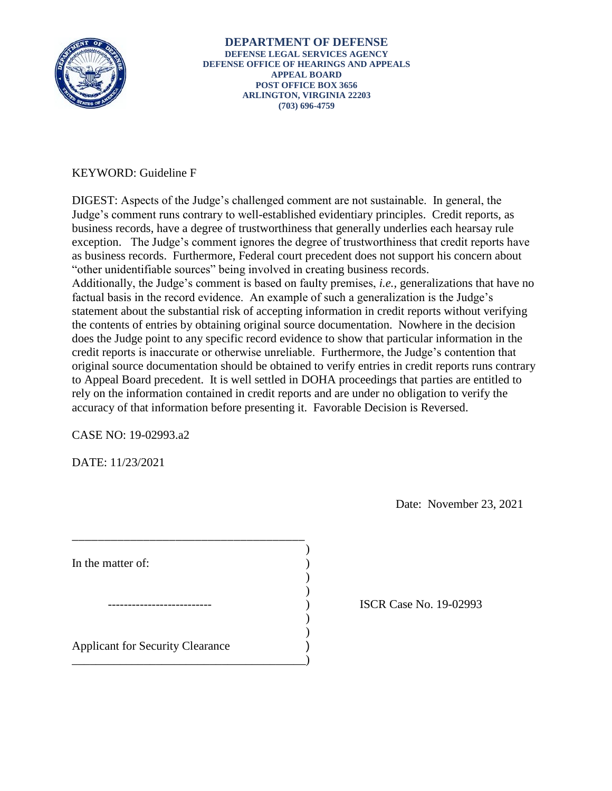

# KEYWORD: Guideline F

"other unidentifiable sources" being involved in creating business records. DIGEST: Aspects of the Judge's challenged comment are not sustainable. In general, the Judge's comment runs contrary to well-established evidentiary principles. Credit reports, as business records, have a degree of trustworthiness that generally underlies each hearsay rule exception. The Judge's comment ignores the degree of trustworthiness that credit reports have as business records. Furthermore, Federal court precedent does not support his concern about Additionally, the Judge's comment is based on faulty premises, *i.e.*, generalizations that have no factual basis in the record evidence. An example of such a generalization is the Judge's statement about the substantial risk of accepting information in credit reports without verifying the contents of entries by obtaining original source documentation. Nowhere in the decision does the Judge point to any specific record evidence to show that particular information in the credit reports is inaccurate or otherwise unreliable. Furthermore, the Judge's contention that original source documentation should be obtained to verify entries in credit reports runs contrary to Appeal Board precedent. It is well settled in DOHA proceedings that parties are entitled to rely on the information contained in credit reports and are under no obligation to verify the accuracy of that information before presenting it. Favorable Decision is Reversed.

CASE NO: 19-02993.a2

DATE: 11/23/2021

Date: November 23, 2021

| In the matter of:                       |  |
|-----------------------------------------|--|
|                                         |  |
|                                         |  |
|                                         |  |
|                                         |  |
|                                         |  |
| <b>Applicant for Security Clearance</b> |  |
|                                         |  |

ISCR Case No. 19-02993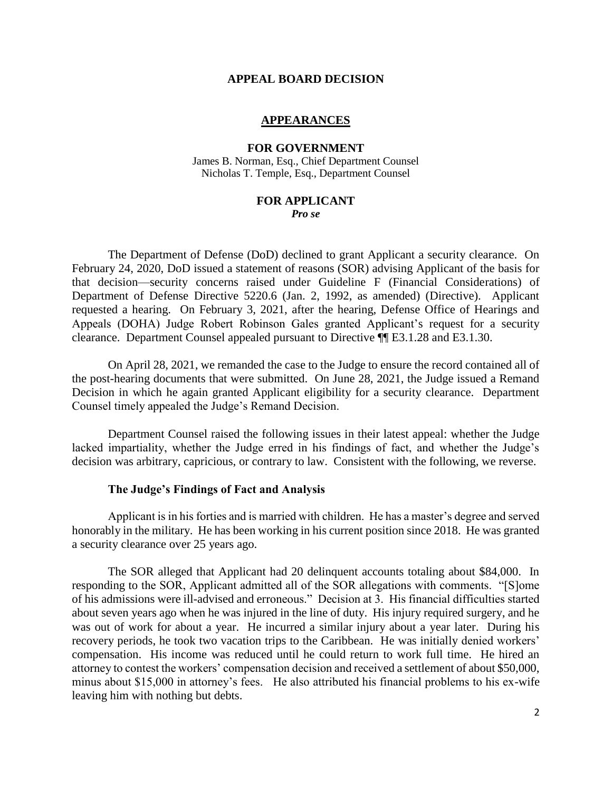#### **APPEAL BOARD DECISION**

#### **APPEARANCES**

## **FOR GOVERNMENT**

James B. Norman, Esq., Chief Department Counsel Nicholas T. Temple, Esq., Department Counsel

#### **FOR APPLICANT**

#### *Pro se*

 The Department of Defense (DoD) declined to grant Applicant a security clearance. On February 24, 2020, DoD issued a statement of reasons (SOR) advising Applicant of the basis for that decision—security concerns raised under Guideline F (Financial Considerations) of Department of Defense Directive 5220.6 (Jan. 2, 1992, as amended) (Directive). Applicant requested a hearing. On February 3, 2021, after the hearing, Defense Office of Hearings and Appeals (DOHA) Judge Robert Robinson Gales granted Applicant's request for a security clearance. Department Counsel appealed pursuant to Directive ¶¶ E3.1.28 and E3.1.30.

 On April 28, 2021, we remanded the case to the Judge to ensure the record contained all of the post-hearing documents that were submitted. On June 28, 2021, the Judge issued a Remand Decision in which he again granted Applicant eligibility for a security clearance. Department Counsel timely appealed the Judge's Remand Decision.

 Department Counsel raised the following issues in their latest appeal: whether the Judge lacked impartiality, whether the Judge erred in his findings of fact, and whether the Judge's decision was arbitrary, capricious, or contrary to law. Consistent with the following, we reverse.

### **The Judge's Findings of Fact and Analysis**

 Applicant is in his forties and is married with children. He has a master's degree and served honorably in the military. He has been working in his current position since 2018. He was granted a security clearance over 25 years ago.

 The SOR alleged that Applicant had 20 delinquent accounts totaling about \$84,000. In responding to the SOR, Applicant admitted all of the SOR allegations with comments. "[S]ome of his admissions were ill-advised and erroneous." Decision at 3. His financial difficulties started about seven years ago when he was injured in the line of duty. His injury required surgery, and he was out of work for about a year. He incurred a similar injury about a year later. During his recovery periods, he took two vacation trips to the Caribbean. He was initially denied workers' compensation. His income was reduced until he could return to work full time. He hired an attorney to contest the workers' compensation decision and received a settlement of about \$50,000, minus about \$15,000 in attorney's fees. He also attributed his financial problems to his ex-wife leaving him with nothing but debts.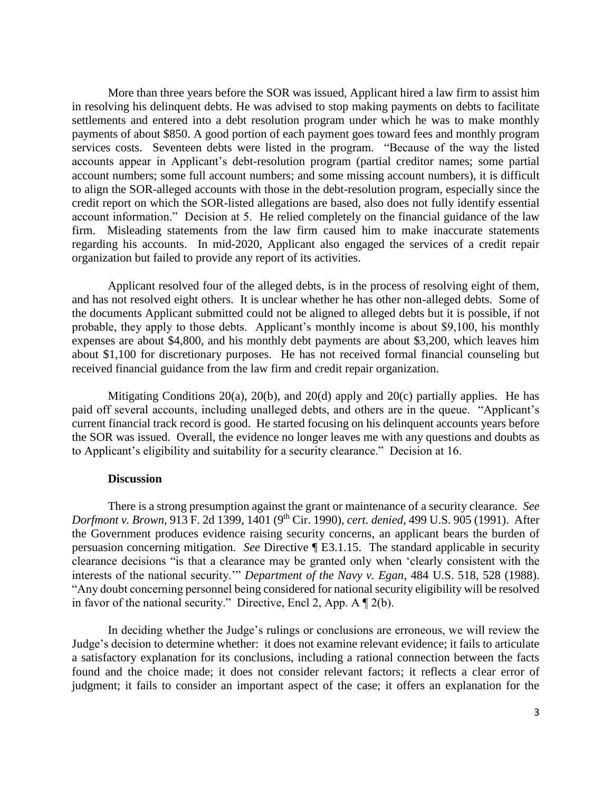More than three years before the SOR was issued, Applicant hired a law firm to assist him in resolving his delinquent debts. He was advised to stop making payments on debts to facilitate settlements and entered into a debt resolution program under which he was to make monthly services costs. Seventeen debts were listed in the program. "Because of the way the listed account numbers; some full account numbers; and some missing account numbers), it is difficult to align the SOR-alleged accounts with those in the debt-resolution program, especially since the credit report on which the SOR-listed allegations are based, also does not fully identify essential account information." Decision at 5. He relied completely on the financial guidance of the law firm. Misleading statements from the law firm caused him to make inaccurate statements regarding his accounts. In mid-2020, Applicant also engaged the services of a credit repair payments of about \$850. A good portion of each payment goes toward fees and monthly program accounts appear in Applicant's debt-resolution program (partial creditor names; some partial organization but failed to provide any report of its activities.

 Applicant resolved four of the alleged debts, is in the process of resolving eight of them, and has not resolved eight others. It is unclear whether he has other non-alleged debts. Some of probable, they apply to those debts. Applicant's monthly income is about \$9,100, his monthly expenses are about \$4,800, and his monthly debt payments are about \$3,200, which leaves him about \$1,100 for discretionary purposes. He has not received formal financial counseling but the documents Applicant submitted could not be aligned to alleged debts but it is possible, if not received financial guidance from the law firm and credit repair organization.

 Mitigating Conditions 20(a), 20(b), and 20(d) apply and 20(c) partially applies. He has paid off several accounts, including unalleged debts, and others are in the queue. "Applicant's current financial track record is good. He started focusing on his delinquent accounts years before to Applicant's eligibility and suitability for a security clearance." Decision at 16. the SOR was issued. Overall, the evidence no longer leaves me with any questions and doubts as

#### **Discussion**

 There is a strong presumption against the grant or maintenance of a security clearance. *See Dorfmont v. Brown*, 913 F. 2d 1399, 1401 (9th Cir. 1990), *cert. denied,* 499 U.S. 905 (1991). After the Government produces evidence raising security concerns, an applicant bears the burden of persuasion concerning mitigation. *See* Directive ¶ E3.1.15. The standard applicable in security clearance decisions "is that a clearance may be granted only when 'clearly consistent with the interests of the national security.'" *Department of the Navy v. Egan*, 484 U.S. 518, 528 (1988). "Any doubt concerning personnel being considered for national security eligibility will be resolved in favor of the national security." Directive, Encl 2, App. A  $\P$  2(b).

 In deciding whether the Judge's rulings or conclusions are erroneous, we will review the Judge's decision to determine whether: it does not examine relevant evidence; it fails to articulate a satisfactory explanation for its conclusions, including a rational connection between the facts found and the choice made; it does not consider relevant factors; it reflects a clear error of judgment; it fails to consider an important aspect of the case; it offers an explanation for the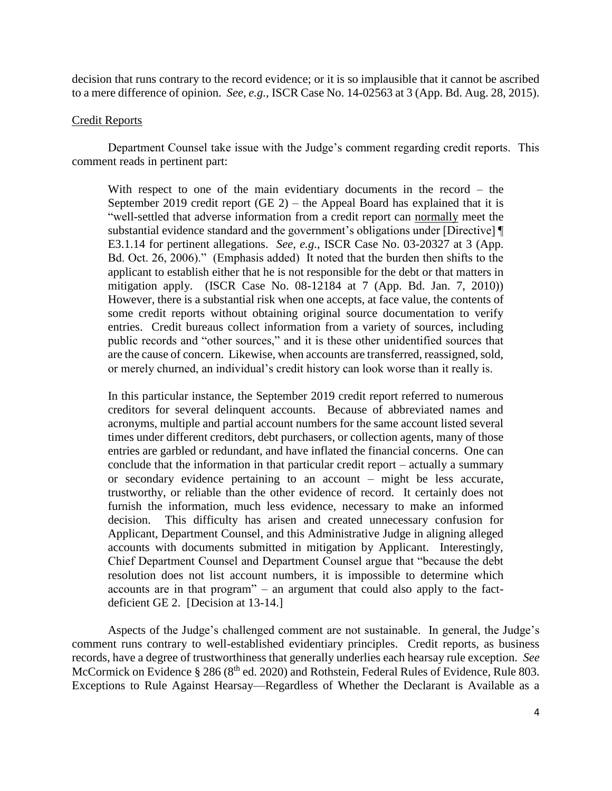decision that runs contrary to the record evidence; or it is so implausible that it cannot be ascribed to a mere difference of opinion. *See, e.g.*, ISCR Case No. 14-02563 at 3 (App. Bd. Aug. 28, 2015).

## Credit Reports

 Department Counsel take issue with the Judge's comment regarding credit reports. This comment reads in pertinent part:

 With respect to one of the main evidentiary documents in the record – the September 2019 credit report (GE 2) – the Appeal Board has explained that it is "well-settled that adverse information from a credit report can **normally** meet the substantial evidence standard and the government's obligations under [Directive] ¶ E3.1.14 for pertinent allegations. *See, e.g.*, ISCR Case No. 03-20327 at 3 (App. Bd. Oct. 26, 2006)." (Emphasis added) It noted that the burden then shifts to the mitigation apply. (ISCR Case No. 08-12184 at 7 (App. Bd. Jan. 7, 2010)) However, there is a substantial risk when one accepts, at face value, the contents of some credit reports without obtaining original source documentation to verify entries. Credit bureaus collect information from a variety of sources, including public records and "other sources," and it is these other unidentified sources that are the cause of concern. Likewise, when accounts are transferred, reassigned, sold, applicant to establish either that he is not responsible for the debt or that matters in or merely churned, an individual's credit history can look worse than it really is.

 creditors for several delinquent accounts. Because of abbreviated names and entries are garbled or redundant, and have inflated the financial concerns. One can conclude that the information in that particular credit report – actually a summary or secondary evidence pertaining to an account – might be less accurate, trustworthy, or reliable than the other evidence of record. It certainly does not furnish the information, much less evidence, necessary to make an informed Applicant, Department Counsel, and this Administrative Judge in aligning alleged accounts with documents submitted in mitigation by Applicant. Interestingly, Chief Department Counsel and Department Counsel argue that "because the debt accounts are in that program" – an argument that could also apply to the factdeficient GE 2. [Decision at  $13-14$ .] In this particular instance, the September 2019 credit report referred to numerous acronyms, multiple and partial account numbers for the same account listed several times under different creditors, debt purchasers, or collection agents, many of those decision. This difficulty has arisen and created unnecessary confusion for resolution does not list account numbers, it is impossible to determine which

 comment runs contrary to well-established evidentiary principles. Credit reports, as business records, have a degree of trustworthiness that generally underlies each hearsay rule exception. *See*  Aspects of the Judge's challenged comment are not sustainable. In general, the Judge's McCormick on Evidence § 286 (8<sup>th</sup> ed. 2020) and Rothstein, Federal Rules of Evidence, Rule 803. Exceptions to Rule Against Hearsay—Regardless of Whether the Declarant is Available as a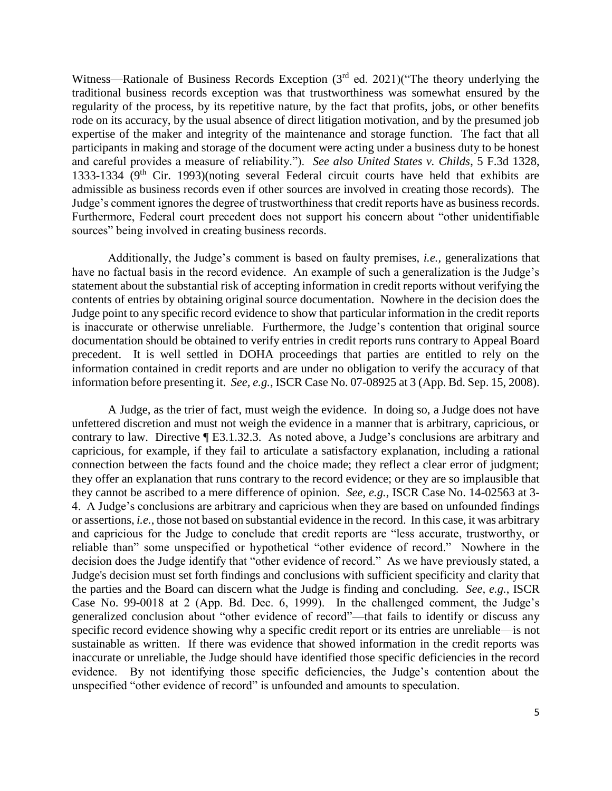Witness—Rationale of Business Records Exception (3<sup>rd</sup> ed. 2021)("The theory underlying the traditional business records exception was that trustworthiness was somewhat ensured by the regularity of the process, by its repetitive nature, by the fact that profits, jobs, or other benefits expertise of the maker and integrity of the maintenance and storage function. The fact that all participants in making and storage of the document were acting under a business duty to be honest and careful provides a measure of reliability."). *See also United States v. Childs*, 5 F.3d 1328, admissible as business records even if other sources are involved in creating those records). The Judge's comment ignores the degree of trustworthiness that credit reports have as business records. rode on its accuracy, by the usual absence of direct litigation motivation, and by the presumed job 1333-1334 ( $9<sup>th</sup>$  Cir. 1993)(noting several Federal circuit courts have held that exhibits are Furthermore, Federal court precedent does not support his concern about "other unidentifiable sources" being involved in creating business records.

 have no factual basis in the record evidence. An example of such a generalization is the Judge's statement about the substantial risk of accepting information in credit reports without verifying the contents of entries by obtaining original source documentation. Nowhere in the decision does the Judge point to any specific record evidence to show that particular information in the credit reports is inaccurate or otherwise unreliable. Furthermore, the Judge's contention that original source documentation should be obtained to verify entries in credit reports runs contrary to Appeal Board precedent. It is well settled in DOHA proceedings that parties are entitled to rely on the information contained in credit reports and are under no obligation to verify the accuracy of that information before presenting it. *See, e.g.*, ISCR Case No. 07-08925 at 3 (App. Bd. Sep. 15, 2008). Additionally, the Judge's comment is based on faulty premises, *i.e.,* generalizations that

 A Judge, as the trier of fact, must weigh the evidence. In doing so, a Judge does not have unfettered discretion and must not weigh the evidence in a manner that is arbitrary, capricious, or contrary to law. Directive ¶ E3.1.32.3. As noted above, a Judge's conclusions are arbitrary and capricious, for example, if they fail to articulate a satisfactory explanation, including a rational connection between the facts found and the choice made; they reflect a clear error of judgment; they cannot be ascribed to a mere difference of opinion. *See, e.g.*, ISCR Case No. 14-02563 at 3- 4. A Judge's conclusions are arbitrary and capricious when they are based on unfounded findings and capricious for the Judge to conclude that credit reports are "less accurate, trustworthy, or reliable than" some unspecified or hypothetical "other evidence of record." Nowhere in the decision does the Judge identify that "other evidence of record." As we have previously stated, a the parties and the Board can discern what the Judge is finding and concluding. *See, e.g.*, ISCR generalized conclusion about "other evidence of record"—that fails to identify or discuss any specific record evidence showing why a specific credit report or its entries are unreliable—is not sustainable as written. If there was evidence that showed information in the credit reports was inaccurate or unreliable, the Judge should have identified those specific deficiencies in the record evidence. By not identifying those specific deficiencies, the Judge's contention about the they offer an explanation that runs contrary to the record evidence; or they are so implausible that or assertions, *i.e.*, those not based on substantial evidence in the record. In this case, it was arbitrary Judge's decision must set forth findings and conclusions with sufficient specificity and clarity that Case No. 99-0018 at 2 (App. Bd. Dec. 6, 1999). In the challenged comment, the Judge's unspecified "other evidence of record" is unfounded and amounts to speculation.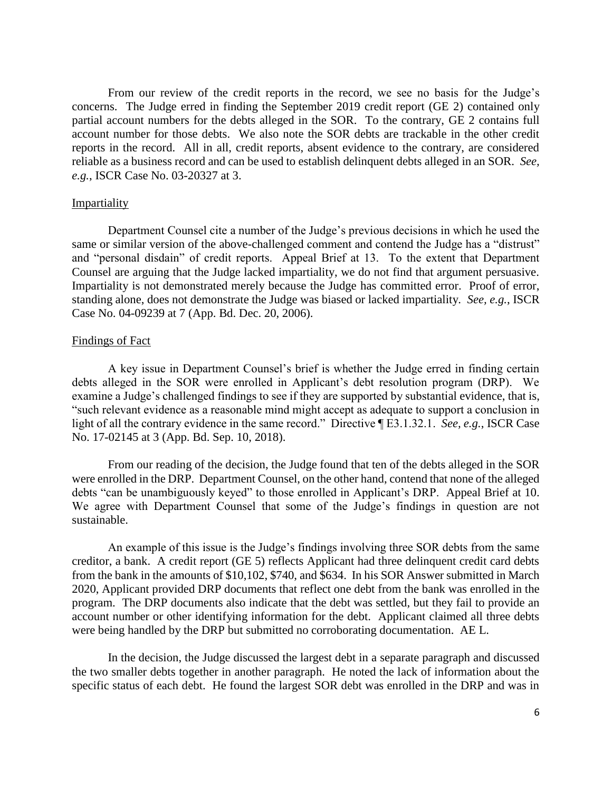From our review of the credit reports in the record, we see no basis for the Judge's concerns. The Judge erred in finding the September 2019 credit report (GE 2) contained only partial account numbers for the debts alleged in the SOR. To the contrary, GE 2 contains full account number for those debts. We also note the SOR debts are trackable in the other credit reports in the record. All in all, credit reports, absent evidence to the contrary, are considered reliable as a business record and can be used to establish delinquent debts alleged in an SOR. *See, e.g.*, ISCR Case No. 03-20327 at 3.

#### Impartiality

 same or similar version of the above-challenged comment and contend the Judge has a "distrust" and "personal disdain" of credit reports. Appeal Brief at 13. To the extent that Department Counsel are arguing that the Judge lacked impartiality, we do not find that argument persuasive. Impartiality is not demonstrated merely because the Judge has committed error. Proof of error, standing alone, does not demonstrate the Judge was biased or lacked impartiality. *See, e.g.*, ISCR Case No. 04-09239 at 7 (App. Bd. Dec. 20, 2006). Case No. 04-09239 at 7 (App. Bd. Dec. 20, 2006).<br>
Findings of Fact<br>
A key issue in Department Counsel's brief is whether the Judge erred in finding certain Department Counsel cite a number of the Judge's previous decisions in which he used the

## Findings of Fact

 debts alleged in the SOR were enrolled in Applicant's debt resolution program (DRP). We examine a Judge's challenged findings to see if they are supported by substantial evidence, that is, light of all the contrary evidence in the same record." Directive ¶ E3.1.32.1. *See, e.g.*, ISCR Case "such relevant evidence as a reasonable mind might accept as adequate to support a conclusion in No. 17-02145 at 3 (App. Bd. Sep. 10, 2018).

 were enrolled in the DRP. Department Counsel, on the other hand, contend that none of the alleged debts "can be unambiguously keyed" to those enrolled in Applicant's DRP. Appeal Brief at 10. We agree with Department Counsel that some of the Judge's findings in question are not From our reading of the decision, the Judge found that ten of the debts alleged in the SOR sustainable.

 creditor, a bank. A credit report (GE 5) reflects Applicant had three delinquent credit card debts from the bank in the amounts of \$10,102, \$740, and \$634. In his SOR Answer submitted in March program. The DRP documents also indicate that the debt was settled, but they fail to provide an account number or other identifying information for the debt. Applicant claimed all three debts An example of this issue is the Judge's findings involving three SOR debts from the same 2020, Applicant provided DRP documents that reflect one debt from the bank was enrolled in the were being handled by the DRP but submitted no corroborating documentation. AE L.

 the two smaller debts together in another paragraph. He noted the lack of information about the specific status of each debt. He found the largest SOR debt was enrolled in the DRP and was in In the decision, the Judge discussed the largest debt in a separate paragraph and discussed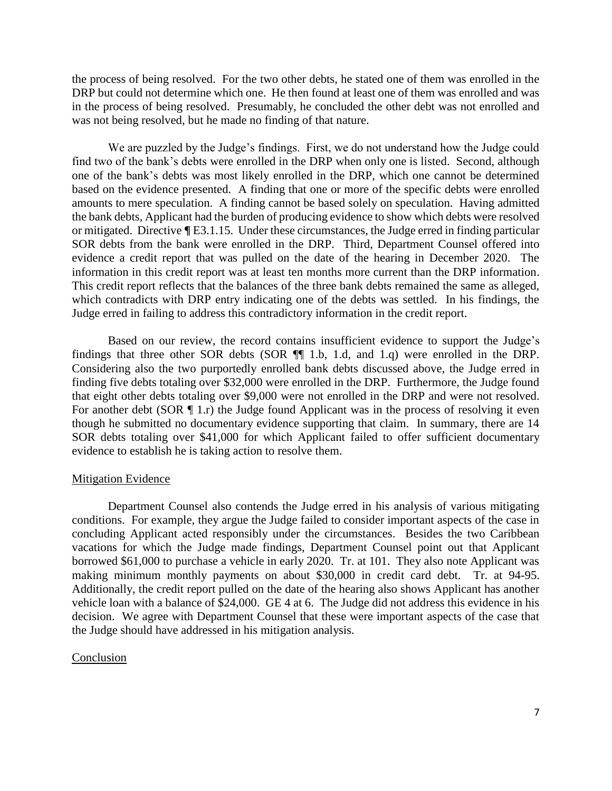the process of being resolved. For the two other debts, he stated one of them was enrolled in the DRP but could not determine which one. He then found at least one of them was enrolled and was in the process of being resolved. Presumably, he concluded the other debt was not enrolled and was not being resolved, but he made no finding of that nature.

 find two of the bank's debts were enrolled in the DRP when only one is listed. Second, although one of the bank's debts was most likely enrolled in the DRP, which one cannot be determined based on the evidence presented. A finding that one or more of the specific debts were enrolled amounts to mere speculation. A finding cannot be based solely on speculation. Having admitted or mitigated. Directive **¶** E3.1.15. Under these circumstances, the Judge erred in finding particular evidence a credit report that was pulled on the date of the hearing in December 2020. The information in this credit report was at least ten months more current than the DRP information. information in this credit report was at least ten months more current than the DRP information. This credit report reflects that the balances of the three bank debts remained the same as alleged, which contradicts with DRP entry indicating one of the debts was settled. In his findings, the We are puzzled by the Judge's findings. First, we do not understand how the Judge could the bank debts, Applicant had the burden of producing evidence to show which debts were resolved SOR debts from the bank were enrolled in the DRP. Third, Department Counsel offered into Judge erred in failing to address this contradictory information in the credit report.

 that eight other debts totaling over \$9,000 were not enrolled in the DRP and were not resolved. For another debt (SOR  $\P$  1.r) the Judge found Applicant was in the process of resolving it even though he submitted no documentary evidence supporting that claim. In summary, there are 14 SOR debts totaling over \$41,000 for which Applicant failed to offer sufficient documentary Based on our review, the record contains insufficient evidence to support the Judge's findings that three other SOR debts (SOR ¶¶ 1.b, 1.d, and 1.q) were enrolled in the DRP. Considering also the two purportedly enrolled bank debts discussed above, the Judge erred in finding five debts totaling over \$32,000 were enrolled in the DRP. Furthermore, the Judge found evidence to establish he is taking action to resolve them.

## Mitigation Evidence

 conditions. For example, they argue the Judge failed to consider important aspects of the case in concluding Applicant acted responsibly under the circumstances. Besides the two Caribbean vacations for which the Judge made findings, Department Counsel point out that Applicant borrowed \$61,000 to purchase a vehicle in early 2020. Tr. at 101. They also note Applicant was making minimum monthly payments on about \$30,000 in credit card debt. Tr. at 94-95. Additionally, the credit report pulled on the date of the hearing also shows Applicant has another vehicle loan with a balance of \$24,000. GE 4 at 6. The Judge did not address this evidence in his decision. We agree with Department Counsel that these were important aspects of the case that Department Counsel also contends the Judge erred in his analysis of various mitigating the Judge should have addressed in his mitigation analysis.

#### Conclusion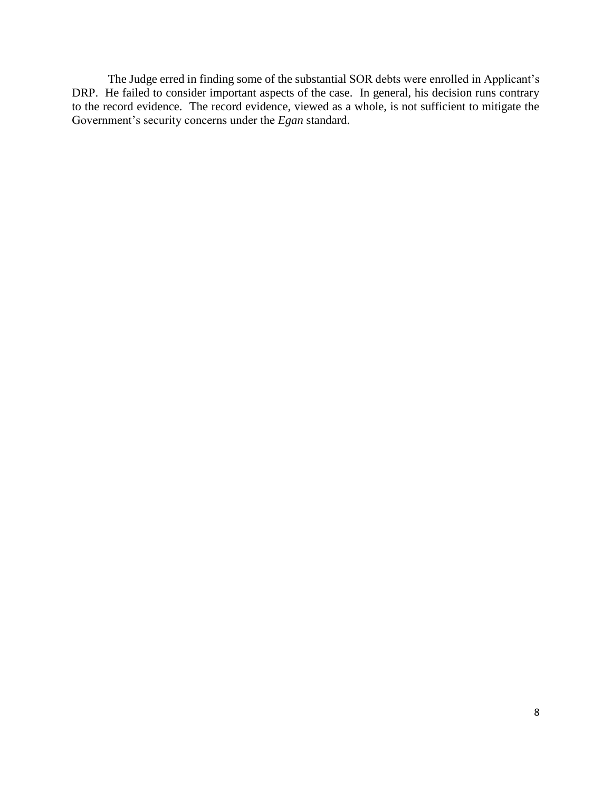The Judge erred in finding some of the substantial SOR debts were enrolled in Applicant's DRP. He failed to consider important aspects of the case. In general, his decision runs contrary to the record evidence. The record evidence, viewed as a whole, is not sufficient to mitigate the Government's security concerns under the *Egan* standard.